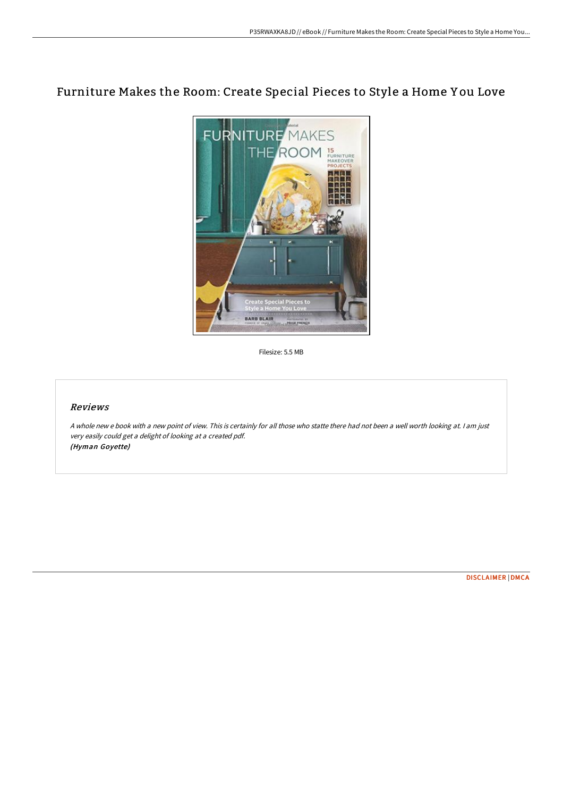# Furniture Makes the Room: Create Special Pieces to Style a Home Y ou Love



Filesize: 5.5 MB

## Reviews

<sup>A</sup> whole new <sup>e</sup> book with <sup>a</sup> new point of view. This is certainly for all those who statte there had not been <sup>a</sup> well worth looking at. <sup>I</sup> am just very easily could get <sup>a</sup> delight of looking at <sup>a</sup> created pdf. (Hyman Goyette)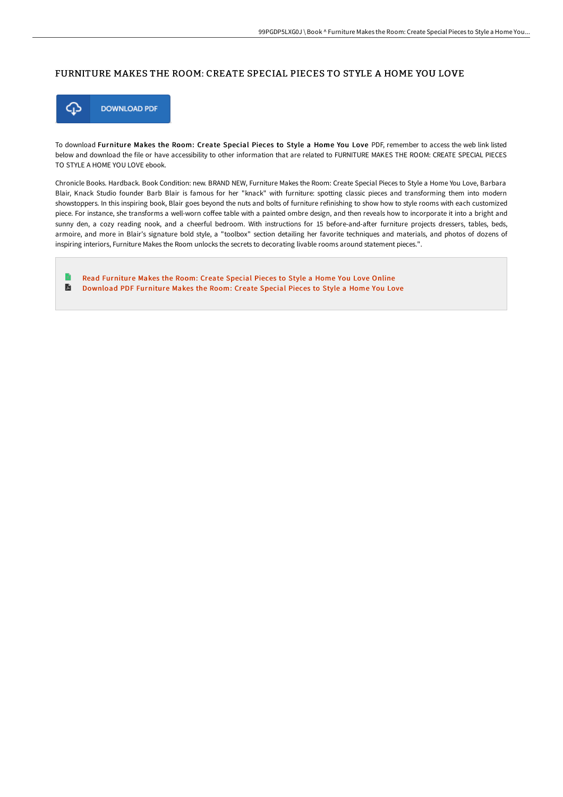#### FURNITURE MAKES THE ROOM: CREATE SPECIAL PIECES TO STYLE A HOME YOU LOVE



To download Furniture Makes the Room: Create Special Pieces to Style a Home You Love PDF, remember to access the web link listed below and download the file or have accessibility to other information that are related to FURNITURE MAKES THE ROOM: CREATE SPECIAL PIECES TO STYLE A HOME YOU LOVE ebook.

Chronicle Books. Hardback. Book Condition: new. BRAND NEW, Furniture Makes the Room: Create Special Pieces to Style a Home You Love, Barbara Blair, Knack Studio founder Barb Blair is famous for her "knack" with furniture: spotting classic pieces and transforming them into modern showstoppers. In this inspiring book, Blair goes beyond the nuts and bolts of furniture refinishing to show how to style rooms with each customized piece. For instance, she transforms a well-worn coffee table with a painted ombre design, and then reveals how to incorporate it into a bright and sunny den, a cozy reading nook, and a cheerful bedroom. With instructions for 15 before-and-after furniture projects dressers, tables, beds, armoire, and more in Blair's signature bold style, a "toolbox" section detailing her favorite techniques and materials, and photos of dozens of inspiring interiors, Furniture Makes the Room unlocks the secrets to decorating livable rooms around statement pieces.".

Read [Furniture](http://techno-pub.tech/furniture-makes-the-room-create-special-pieces-t.html) Makes the Room: Create Special Pieces to Style a Home You Love Online  $\blacksquare$ [Download](http://techno-pub.tech/furniture-makes-the-room-create-special-pieces-t.html) PDF Furniture Makes the Room: Create Special Pieces to Style a Home You Love